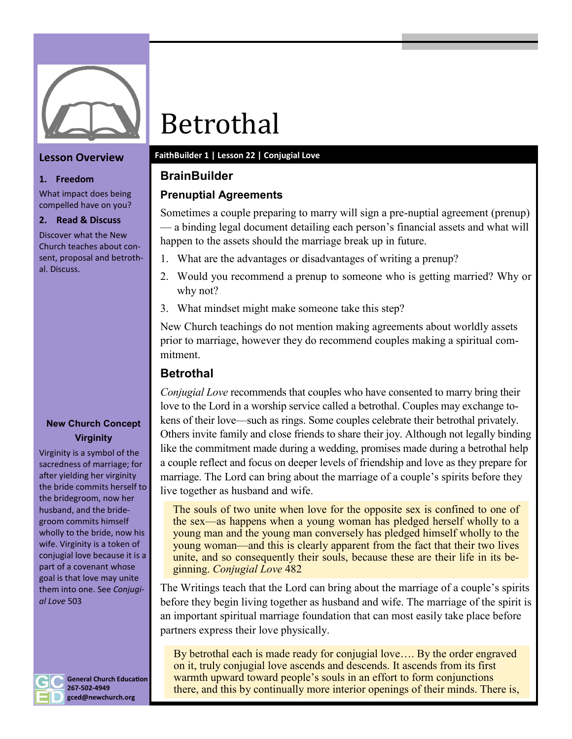

# **Lesson Overview**

#### **1. Freedom**

What impact does being compelled have on you?

### **2. Read & Discuss**

Discover what the New Church teaches about consent, proposal and betrothal. Discuss.

# **New Church Concept Virginity**

Virginity is a symbol of the sacredness of marriage; for after yielding her virginity the bride commits herself to the bridegroom, now her husband, and the bridegroom commits himself wholly to the bride, now his wife. Virginity is a token of conjugial love because it is a part of a covenant whose goal is that love may unite them into one. See *Conjugial Love* 503



**General Church Education 267-502-4949 gced@newchurch.org**

# Betrothal

# **FaithBuilder 1 | Lesson 22 | Conjugial Love**

# **BrainBuilder**

# **Prenuptial Agreements**

Sometimes a couple preparing to marry will sign a pre-nuptial agreement (prenup) — a binding legal document detailing each person's financial assets and what will happen to the assets should the marriage break up in future.

- 1. What are the advantages or disadvantages of writing a prenup?
- 2. Would you recommend a prenup to someone who is getting married? Why or why not?
- 3. What mindset might make someone take this step?

New Church teachings do not mention making agreements about worldly assets prior to marriage, however they do recommend couples making a spiritual commitment.

# **Betrothal**

*Conjugial Love* recommends that couples who have consented to marry bring their love to the Lord in a worship service called a betrothal. Couples may exchange tokens of their love—such as rings. Some couples celebrate their betrothal privately. Others invite family and close friends to share their joy. Although not legally binding like the commitment made during a wedding, promises made during a betrothal help a couple reflect and focus on deeper levels of friendship and love as they prepare for marriage. The Lord can bring about the marriage of a couple's spirits before they live together as husband and wife.

The souls of two unite when love for the opposite sex is confined to one of the sex—as happens when a young woman has pledged herself wholly to a young man and the young man conversely has pledged himself wholly to the young woman—and this is clearly apparent from the fact that their two lives unite, and so consequently their souls, because these are their life in its beginning. *Conjugial Love* 482

The Writings teach that the Lord can bring about the marriage of a couple's spirits before they begin living together as husband and wife. The marriage of the spirit is an important spiritual marriage foundation that can most easily take place before partners express their love physically.

By betrothal each is made ready for conjugial love…. By the order engraved on it, truly conjugial love ascends and descends. It ascends from its first warmth upward toward people's souls in an effort to form conjunctions there, and this by continually more interior openings of their minds. There is,